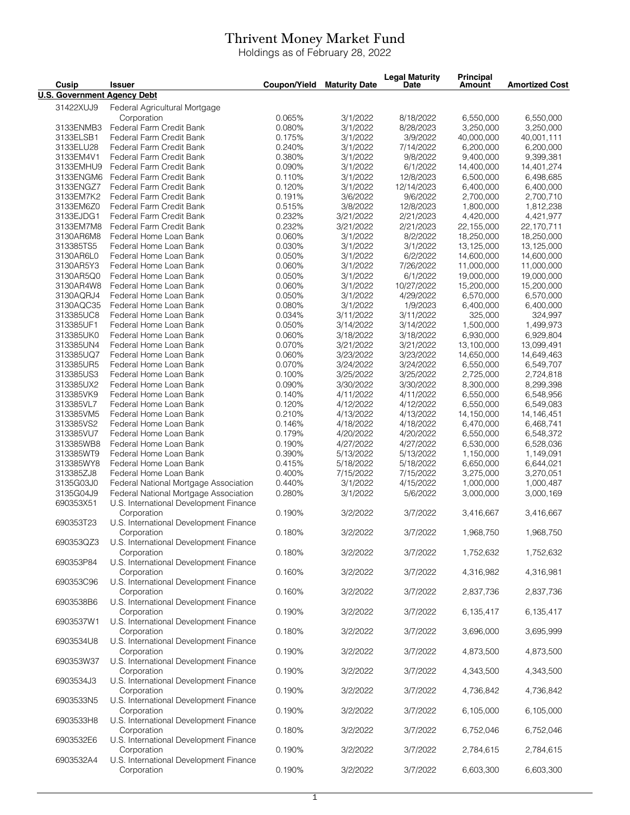## Thrivent Money Market Fund

Holdings as of February 28, 2022

| Cusip                              | <b>Issuer</b>                                         | Coupon/Yield     | <b>Maturity Date</b>  | <b>Legal Maturity</b><br>Date | <b>Principal</b><br>Amount | <b>Amortized Cost</b>  |
|------------------------------------|-------------------------------------------------------|------------------|-----------------------|-------------------------------|----------------------------|------------------------|
| <b>U.S. Government Agency Debt</b> |                                                       |                  |                       |                               |                            |                        |
| 31422XUJ9                          | Federal Agricultural Mortgage                         |                  |                       |                               |                            |                        |
|                                    | Corporation                                           | 0.065%           | 3/1/2022              | 8/18/2022                     | 6,550,000                  | 6,550,000              |
| 3133ENMB3                          | Federal Farm Credit Bank                              | 0.080%           | 3/1/2022              | 8/28/2023                     | 3,250,000                  | 3,250,000              |
| 3133ELSB1                          | Federal Farm Credit Bank                              | 0.175%           | 3/1/2022              | 3/9/2022                      | 40,000,000                 | 40,001,111             |
| 3133ELU28                          | Federal Farm Credit Bank                              | 0.240%           | 3/1/2022              | 7/14/2022                     | 6,200,000                  | 6,200,000              |
| 3133EM4V1                          | Federal Farm Credit Bank                              | 0.380%           | 3/1/2022              | 9/8/2022                      | 9,400,000                  | 9,399,381              |
| 3133EMHU9                          | Federal Farm Credit Bank                              | 0.090%           | 3/1/2022              | 6/1/2022                      | 14,400,000                 | 14,401,274             |
| 3133ENGM6                          | Federal Farm Credit Bank                              | 0.110%           | 3/1/2022              | 12/8/2023                     | 6,500,000                  | 6,498,685              |
| 3133ENGZ7                          | Federal Farm Credit Bank                              | 0.120%           | 3/1/2022              | 12/14/2023                    | 6,400,000                  | 6,400,000              |
| 3133EM7K2                          | Federal Farm Credit Bank                              | 0.191%           | 3/6/2022              | 9/6/2022                      | 2,700,000<br>1,800,000     | 2,700,710              |
| 3133EM6Z0<br>3133EJDG1             | Federal Farm Credit Bank<br>Federal Farm Credit Bank  | 0.515%<br>0.232% | 3/8/2022<br>3/21/2022 | 12/8/2023<br>2/21/2023        | 4,420,000                  | 1,812,238<br>4,421,977 |
| 3133EM7M8                          | Federal Farm Credit Bank                              | 0.232%           | 3/21/2022             | 2/21/2023                     | 22,155,000                 | 22,170,711             |
| 3130AR6M8                          | Federal Home Loan Bank                                | 0.060%           | 3/1/2022              | 8/2/2022                      | 18,250,000                 | 18,250,000             |
| 313385TS5                          | Federal Home Loan Bank                                | 0.030%           | 3/1/2022              | 3/1/2022                      | 13,125,000                 | 13,125,000             |
| 3130AR6L0                          | Federal Home Loan Bank                                | 0.050%           | 3/1/2022              | 6/2/2022                      | 14,600,000                 | 14,600,000             |
| 3130AR5Y3                          | Federal Home Loan Bank                                | 0.060%           | 3/1/2022              | 7/26/2022                     | 11,000,000                 | 11,000,000             |
| 3130AR5Q0                          | Federal Home Loan Bank                                | 0.050%           | 3/1/2022              | 6/1/2022                      | 19,000,000                 | 19,000,000             |
| 3130AR4W8                          | Federal Home Loan Bank                                | 0.060%           | 3/1/2022              | 10/27/2022                    | 15,200,000                 | 15,200,000             |
| 3130AQRJ4                          | Federal Home Loan Bank                                | 0.050%           | 3/1/2022              | 4/29/2022                     | 6,570,000                  | 6,570,000              |
| 3130AQC35                          | Federal Home Loan Bank                                | 0.080%           | 3/1/2022              | 1/9/2023                      | 6,400,000                  | 6,400,000              |
| 313385UC8                          | Federal Home Loan Bank                                | 0.034%           | 3/11/2022             | 3/11/2022                     | 325,000                    | 324,997                |
| 313385UF1                          | Federal Home Loan Bank                                | 0.050%           | 3/14/2022             | 3/14/2022                     | 1,500,000                  | 1,499,973              |
| 313385UK0                          | Federal Home Loan Bank                                | 0.060%           | 3/18/2022             | 3/18/2022                     | 6,930,000                  | 6,929,804              |
| 313385UN4                          | Federal Home Loan Bank                                | 0.070%           | 3/21/2022             | 3/21/2022                     | 13,100,000                 | 13,099,491             |
| 313385UQ7                          | Federal Home Loan Bank                                | 0.060%           | 3/23/2022             | 3/23/2022                     | 14,650,000                 | 14,649,463             |
| 313385UR5                          | Federal Home Loan Bank                                | 0.070%           | 3/24/2022             | 3/24/2022                     | 6,550,000                  | 6,549,707              |
| 313385US3                          | Federal Home Loan Bank                                | 0.100%           | 3/25/2022             | 3/25/2022                     | 2,725,000                  | 2,724,818              |
| 313385UX2                          | Federal Home Loan Bank                                | 0.090%           | 3/30/2022             | 3/30/2022                     | 8,300,000                  | 8,299,398              |
| 313385VK9                          | Federal Home Loan Bank                                | 0.140%           | 4/11/2022             | 4/11/2022                     | 6,550,000                  | 6,548,956              |
| 313385VL7                          | Federal Home Loan Bank                                | 0.120%           | 4/12/2022             | 4/12/2022                     | 6,550,000                  | 6,549,083              |
| 313385VM5                          | Federal Home Loan Bank                                | 0.210%           | 4/13/2022             | 4/13/2022                     | 14,150,000                 | 14,146,451             |
| 313385VS2                          | Federal Home Loan Bank                                | 0.146%           | 4/18/2022             | 4/18/2022                     | 6,470,000                  | 6,468,741              |
| 313385VU7                          | Federal Home Loan Bank                                | 0.179%           | 4/20/2022             | 4/20/2022                     | 6,550,000                  | 6,548,372              |
| 313385WB8                          | Federal Home Loan Bank                                | 0.190%           | 4/27/2022             | 4/27/2022                     | 6,530,000                  | 6,528,036              |
| 313385WT9                          | Federal Home Loan Bank                                | 0.390%           | 5/13/2022             | 5/13/2022                     | 1,150,000                  | 1,149,091              |
| 313385WY8                          | Federal Home Loan Bank                                | 0.415%           | 5/18/2022             | 5/18/2022                     | 6,650,000                  | 6,644,021              |
| 313385ZJ8                          | Federal Home Loan Bank                                | 0.400%           | 7/15/2022             | 7/15/2022                     | 3,275,000                  | 3,270,051              |
| 3135G03J0                          | Federal National Mortgage Association                 | 0.440%           | 3/1/2022              | 4/15/2022                     | 1,000,000                  | 1,000,487              |
| 3135G04J9                          | Federal National Mortgage Association                 | 0.280%           | 3/1/2022              | 5/6/2022                      | 3,000,000                  | 3,000,169              |
| 690353X51                          | U.S. International Development Finance                |                  |                       |                               |                            |                        |
|                                    | Corporation                                           | 0.190%           | 3/2/2022              | 3/7/2022                      | 3.416.667                  | 3,416,667              |
| 690353T23                          | U.S. International Development Finance                |                  |                       |                               |                            |                        |
|                                    | Corporation                                           | 0.180%           | 3/2/2022              | 3/7/2022                      | 1,968,750                  | 1,968,750              |
| 690353QZ3                          | U.S. International Development Finance                |                  |                       |                               |                            |                        |
|                                    | Corporation                                           | 0.180%           | 3/2/2022              | 3/7/2022                      | 1,752,632                  | 1,752,632              |
| 690353P84                          | U.S. International Development Finance                | 0.160%           |                       |                               |                            |                        |
|                                    | Corporation                                           |                  | 3/2/2022              | 3/7/2022                      | 4,316,982                  | 4,316,981              |
| 690353C96                          | U.S. International Development Finance<br>Corporation | 0.160%           |                       | 3/7/2022                      |                            |                        |
| 6903538B6                          | U.S. International Development Finance                |                  | 3/2/2022              |                               | 2,837,736                  | 2,837,736              |
|                                    | Corporation                                           | 0.190%           | 3/2/2022              | 3/7/2022                      | 6,135,417                  | 6,135,417              |
| 6903537W1                          | U.S. International Development Finance                |                  |                       |                               |                            |                        |
|                                    | Corporation                                           | 0.180%           | 3/2/2022              | 3/7/2022                      | 3,696,000                  | 3,695,999              |
| 6903534U8                          | U.S. International Development Finance                |                  |                       |                               |                            |                        |
|                                    | Corporation                                           | 0.190%           | 3/2/2022              | 3/7/2022                      | 4,873,500                  | 4,873,500              |
| 690353W37                          | U.S. International Development Finance                |                  |                       |                               |                            |                        |
|                                    | Corporation                                           | 0.190%           | 3/2/2022              | 3/7/2022                      | 4,343,500                  | 4,343,500              |
| 6903534J3                          | U.S. International Development Finance                |                  |                       |                               |                            |                        |
|                                    | Corporation                                           | 0.190%           | 3/2/2022              | 3/7/2022                      | 4,736,842                  | 4,736,842              |
| 6903533N5                          | U.S. International Development Finance                |                  |                       |                               |                            |                        |
|                                    | Corporation                                           | 0.190%           | 3/2/2022              | 3/7/2022                      | 6,105,000                  | 6,105,000              |
| 6903533H8                          | U.S. International Development Finance                |                  |                       |                               |                            |                        |
|                                    | Corporation                                           | 0.180%           | 3/2/2022              | 3/7/2022                      | 6,752,046                  | 6,752,046              |
| 6903532E6                          | U.S. International Development Finance                |                  |                       |                               |                            |                        |
|                                    | Corporation                                           | 0.190%           | 3/2/2022              | 3/7/2022                      | 2,784,615                  | 2,784,615              |
| 6903532A4                          | U.S. International Development Finance                |                  |                       |                               |                            |                        |
|                                    | Corporation                                           | 0.190%           | 3/2/2022              | 3/7/2022                      | 6,603,300                  | 6,603,300              |
|                                    |                                                       |                  |                       |                               |                            |                        |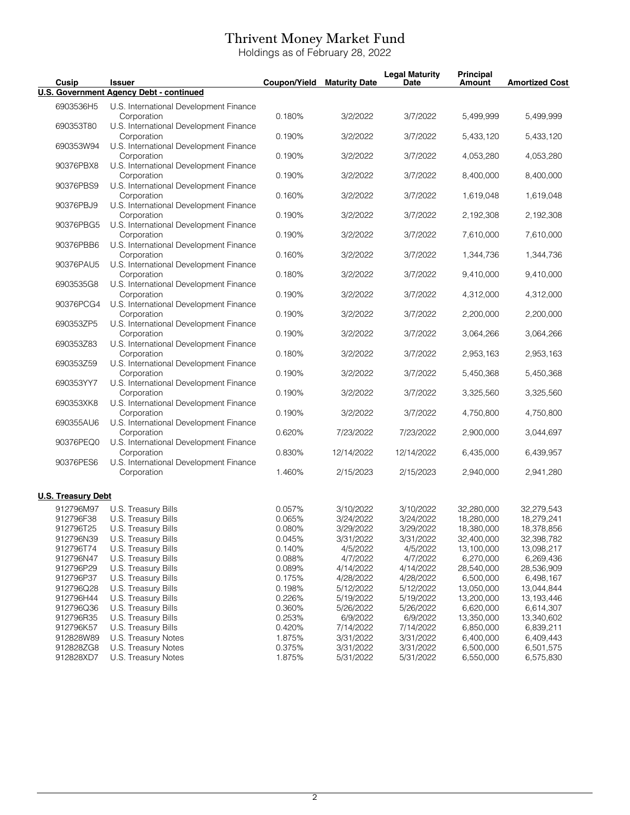## Thrivent Money Market Fund

Holdings as of February 28, 2022

| Cusip                     | <b>Issuer</b>                                         | Coupon/Yield | <b>Maturity Date</b> | <b>Legal Maturity</b><br><b>Date</b> | Principal<br>Amount | <b>Amortized Cost</b> |
|---------------------------|-------------------------------------------------------|--------------|----------------------|--------------------------------------|---------------------|-----------------------|
|                           | <b>U.S. Government Agency Debt - continued</b>        |              |                      |                                      |                     |                       |
| 6903536H5                 | U.S. International Development Finance<br>Corporation | 0.180%       | 3/2/2022             | 3/7/2022                             | 5,499,999           | 5,499,999             |
| 690353T80                 | U.S. International Development Finance<br>Corporation | 0.190%       | 3/2/2022             | 3/7/2022                             | 5,433,120           | 5,433,120             |
| 690353W94                 | U.S. International Development Finance<br>Corporation | 0.190%       | 3/2/2022             | 3/7/2022                             | 4,053,280           | 4,053,280             |
| 90376PBX8                 | U.S. International Development Finance<br>Corporation | 0.190%       | 3/2/2022             | 3/7/2022                             | 8,400,000           | 8,400,000             |
| 90376PBS9                 | U.S. International Development Finance<br>Corporation | 0.160%       | 3/2/2022             | 3/7/2022                             | 1,619,048           | 1,619,048             |
| 90376PBJ9                 | U.S. International Development Finance<br>Corporation | 0.190%       | 3/2/2022             | 3/7/2022                             | 2,192,308           | 2,192,308             |
| 90376PBG5                 | U.S. International Development Finance<br>Corporation | 0.190%       | 3/2/2022             | 3/7/2022                             | 7,610,000           | 7,610,000             |
| 90376PBB6                 | U.S. International Development Finance<br>Corporation | 0.160%       | 3/2/2022             | 3/7/2022                             | 1,344,736           | 1,344,736             |
| 90376PAU5                 | U.S. International Development Finance<br>Corporation | 0.180%       | 3/2/2022             | 3/7/2022                             | 9,410,000           | 9,410,000             |
| 6903535G8                 | U.S. International Development Finance<br>Corporation | 0.190%       | 3/2/2022             | 3/7/2022                             | 4,312,000           | 4,312,000             |
| 90376PCG4                 | U.S. International Development Finance<br>Corporation | 0.190%       | 3/2/2022             | 3/7/2022                             | 2,200,000           | 2,200,000             |
| 690353ZP5                 | U.S. International Development Finance<br>Corporation | 0.190%       | 3/2/2022             | 3/7/2022                             | 3,064,266           | 3,064,266             |
| 690353Z83                 | U.S. International Development Finance<br>Corporation | 0.180%       | 3/2/2022             | 3/7/2022                             | 2,953,163           | 2,953,163             |
| 690353Z59                 | U.S. International Development Finance<br>Corporation | 0.190%       | 3/2/2022             | 3/7/2022                             | 5,450,368           | 5,450,368             |
| 690353YY7                 | U.S. International Development Finance<br>Corporation | 0.190%       | 3/2/2022             | 3/7/2022                             | 3,325,560           | 3,325,560             |
| 690353XK8                 | U.S. International Development Finance<br>Corporation | 0.190%       | 3/2/2022             | 3/7/2022                             | 4,750,800           | 4,750,800             |
| 690355AU6                 | U.S. International Development Finance<br>Corporation | 0.620%       | 7/23/2022            | 7/23/2022                            | 2,900,000           | 3,044,697             |
| 90376PEQ0                 | U.S. International Development Finance<br>Corporation | 0.830%       | 12/14/2022           | 12/14/2022                           | 6,435,000           | 6,439,957             |
| 90376PES6                 | U.S. International Development Finance<br>Corporation | 1.460%       | 2/15/2023            | 2/15/2023                            | 2,940,000           | 2,941,280             |
| <b>U.S. Treasury Debt</b> |                                                       |              |                      |                                      |                     |                       |
| 912796M97                 | U.S. Treasury Bills                                   | 0.057%       | 3/10/2022            | 3/10/2022                            | 32,280,000          | 32,279,543            |
| 912796F38                 | U.S. Treasury Bills                                   | 0.065%       | 3/24/2022            | 3/24/2022                            | 18,280,000          | 18,279,241            |
| 912796T25                 |                                                       | 0.080%       |                      |                                      |                     |                       |
|                           | U.S. Treasury Bills                                   |              | 3/29/2022            | 3/29/2022                            | 18,380,000          | 18,378,856            |
| 912796N39                 | U.S. Treasury Bills                                   | 0.045%       | 3/31/2022            | 3/31/2022                            | 32,400,000          | 32,398,782            |
| 912796T74                 | U.S. Treasury Bills                                   | 0.140%       | 4/5/2022             | 4/5/2022                             | 13,100,000          | 13,098,217            |
| 912796N47                 | U.S. Treasury Bills                                   | 0.088%       | 4/7/2022             | 4/7/2022                             | 6,270,000           | 6,269,436             |
| 912796P29                 | U.S. Treasury Bills                                   | 0.089%       | 4/14/2022            | 4/14/2022                            | 28,540,000          | 28,536,909            |
| 912796P37                 | U.S. Treasury Bills                                   | 0.175%       | 4/28/2022            | 4/28/2022                            | 6,500,000           | 6,498,167             |
| 912796Q28                 | U.S. Treasury Bills                                   | 0.198%       | 5/12/2022            | 5/12/2022                            | 13,050,000          | 13,044,844            |
| 912796H44                 | U.S. Treasury Bills                                   | 0.226%       | 5/19/2022            | 5/19/2022                            | 13,200,000          | 13, 193, 446          |
|                           | U.S. Treasury Bills                                   |              |                      |                                      |                     |                       |
| 912796Q36                 |                                                       | 0.360%       | 5/26/2022            | 5/26/2022                            | 6,620,000           | 6,614,307             |
| 912796R35                 | U.S. Treasury Bills                                   | 0.253%       | 6/9/2022             | 6/9/2022                             | 13,350,000          | 13,340,602            |
| 912796K57                 | U.S. Treasury Bills                                   | 0.420%       | 7/14/2022            | 7/14/2022                            | 6,850,000           | 6,839,211             |
| 912828W89                 | U.S. Treasury Notes                                   | 1.875%       | 3/31/2022            | 3/31/2022                            | 6,400,000           | 6,409,443             |
| 912828ZG8                 | U.S. Treasury Notes                                   | 0.375%       | 3/31/2022            | 3/31/2022                            | 6,500,000           | 6,501,575             |
| 912828XD7                 | U.S. Treasury Notes                                   | 1.875%       | 5/31/2022            | 5/31/2022                            | 6,550,000           | 6,575,830             |